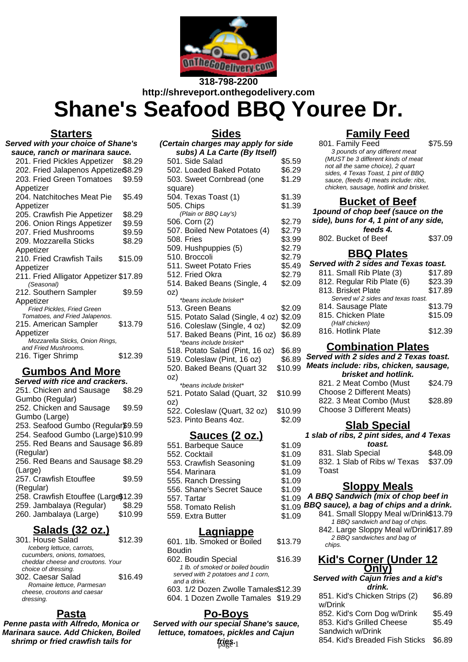

# **318-798-2200 http://shreveport.onthegodelivery.com Shane's Seafood BBQ Youree Dr.**

**Sides**

#### **Starters**

| <b>Served with your choice of Shane's</b>                    |         |  |
|--------------------------------------------------------------|---------|--|
| sauce, ranch or marinara sauce.                              |         |  |
| 201. Fried Pickles Appetizer                                 | \$8.29  |  |
| 202. Fried Jalapenos Appetize\$8.29                          |         |  |
| 203. Fried Green Tomatoes                                    | \$9.59  |  |
| Appetizer                                                    |         |  |
| 204. Natchitoches Meat Pie                                   | \$5.49  |  |
| Appetizer                                                    |         |  |
| 205. Crawfish Pie Appetizer                                  | \$8.29  |  |
| 206. Onion Rings Appetizer                                   | \$9.59  |  |
| 207. Fried Mushrooms                                         | \$9.59  |  |
| 209. Mozzarella Sticks                                       | \$8.29  |  |
| Appetizer                                                    |         |  |
| 210. Fried Crawfish Tails                                    | \$15.09 |  |
| Appetizer                                                    |         |  |
| 211. Fried Alligator Appetizer \$17.89                       |         |  |
| (Seasonal)                                                   |         |  |
| 212. Southern Sampler                                        | \$9.59  |  |
| Appetizer                                                    |         |  |
| Fried Pickles, Fried Green<br>Tomatoes, and Fried Jalapenos. |         |  |
| 215. American Sampler                                        | \$13.79 |  |
| Appetizer                                                    |         |  |
| Mozzarella Sticks, Onion Rings,                              |         |  |
| and Fried Mushrooms.                                         |         |  |
| 216. Tiger Shrimp                                            | \$12.39 |  |
|                                                              |         |  |

## **Gumbos And More**

| Served with rice and crackers.       |         |
|--------------------------------------|---------|
| 251. Chicken and Sausage             | \$8.29  |
| Gumbo (Regular)                      |         |
| 252. Chicken and Sausage             | \$9.59  |
| Gumbo (Large)                        |         |
| 253. Seafood Gumbo (Regular\$9.59    |         |
| 254. Seafood Gumbo (Large) \$10.99   |         |
| 255. Red Beans and Sausage \$6.89    |         |
| (Regular)                            |         |
| 256. Red Beans and Sausage \$8.29    |         |
| (Large)                              |         |
| 257. Crawfish Etouffee               | \$9.59  |
| (Regular)                            |         |
| 258. Crawfish Etouffee (Large\$12.39 |         |
| 259. Jambalaya (Regular)             | \$8.29  |
| 260. Jambalaya (Large)               | \$10.99 |

### **Salads (32 oz.)**

| 301. House Salad                  | \$12.39 |
|-----------------------------------|---------|
| Iceberg lettuce, carrots,         |         |
| cucumbers, onions, tomatoes,      |         |
| cheddar cheese and croutons. Your |         |
| choice of dressing.               |         |
| 302. Caesar Salad                 | \$16.49 |
| Romaine lettuce, Parmesan         |         |
| cheese, croutons and caesar       |         |
| dressing.                         |         |
|                                   |         |

## **Pasta**

**Penne pasta with Alfredo, Monica or Marinara sauce. Add Chicken, Boiled shrimp or fried crawfish tails for**

| (Certain charges may apply for side |         |  |
|-------------------------------------|---------|--|
| subs) A La Carte (By Itself)        |         |  |
| 501. Side Salad                     | \$5.59  |  |
| 502. Loaded Baked Potato            | \$6.29  |  |
| 503. Sweet Cornbread (one           | \$1.29  |  |
| square)                             |         |  |
| 504. Texas Toast (1)                | \$1.39  |  |
| 505. Chips                          | \$1.39  |  |
| (Plain or BBQ Lay's)                |         |  |
| 506. Corn (2)                       | \$2.79  |  |
| 507. Boiled New Potatoes (4)        | \$2.79  |  |
| 508. Fries                          | \$3.99  |  |
| 509. Hushpuppies (5)                | \$2.79  |  |
| 510. Broccoli                       | \$2.79  |  |
| 511. Sweet Potato Fries             | \$5.49  |  |
| 512. Fried Okra                     | \$2.79  |  |
| 514. Baked Beans (Single, 4         | \$2.09  |  |
| oz)                                 |         |  |
| *beans include brisket*             |         |  |
| 513. Green Beans                    | \$2.09  |  |
| 515. Potato Salad (Single, 4 oz)    | \$2.09  |  |
| 516. Coleslaw (Single, 4 oz)        | \$2.09  |  |
| 517. Baked Beans (Pint, 16 oz)      | \$6.89  |  |
| *beans include brisket*             |         |  |
| 518. Potato Salad (Pint, 16 oz)     | \$6.89  |  |
| 519. Coleslaw (Pint, 16 oz)         | \$6.89  |  |
| 520. Baked Beans (Quart 32          | \$10.99 |  |
| oz)                                 |         |  |
| *beans include brisket*             |         |  |
| 521. Potato Salad (Quart, 32        | \$10.99 |  |
| oz)                                 |         |  |
| 522. Coleslaw (Quart, 32 oz)        | \$10.99 |  |
| 523. Pinto Beans 4oz.               | \$2.09  |  |
|                                     |         |  |
| <u> Sauces (2 oz.)</u>              |         |  |
| 551. Barbeque Sauce                 | \$1.09  |  |
| 552. Cocktail                       | \$1.09  |  |
| 553. Crawfish Seasoning             | \$1.09  |  |
| 554. Marinara                       | \$1.09  |  |

555. Ranch Dressing \$1.09

559. Extra Butter \$1.09

602. Boudin Special \$16.39 1 lb. of smoked or boiled boudin served with 2 potatoes and 1 corn,

603. 1/2 Dozen Zwolle Tamales\$12.39 604. 1 Dozen Zwolle Tamales \$19.29

\$13.79

**Lagniappe** 601. 1lb. Smoked or Boiled

558. Tomato Relish

Boudin

and a drink.

# **Family Feed**

\$75.59

| 801. Family Feed                       |  |
|----------------------------------------|--|
| 3 pounds of any different meat         |  |
| (MUST be 3 different kinds of meat     |  |
| not all the same choice), 2 quart      |  |
| sides, 4 Texas Toast, 1 pint of BBQ    |  |
| sauce, (feeds 4) meats include: ribs,  |  |
| chicken, sausage, hotlink and brisket. |  |
|                                        |  |
|                                        |  |

### **Bucket of Beef**

**1pound of chop beef (sauce on the side), buns for 4, 1 pint of any side, feeds 4.** 802. Bucket of Beef \$37.09

### **BBQ Plates**

| Served with 2 sides and Texas toast. |         |  |
|--------------------------------------|---------|--|
| 811. Small Rib Plate (3)             | \$17.89 |  |
| 812. Regular Rib Plate (6)           | \$23.39 |  |
| 813. Brisket Plate                   | \$17.89 |  |
| Served w/2 sides and texas toast.    |         |  |
| 814. Sausage Plate                   | \$13.79 |  |
| 815. Chicken Plate                   | \$15.09 |  |
| (Half chicken)                       |         |  |
| 816. Hotlink Plate                   | \$12.39 |  |
|                                      |         |  |

### **Combination Plates**

| Served with 2 sides and 2 Texas toast.<br>Meats include: ribs, chicken, sausage, |         |
|----------------------------------------------------------------------------------|---------|
| brisket and hotlink.                                                             |         |
| 821. 2 Meat Combo (Must<br>Choose 2 Different Meats)                             | \$24.79 |
| 822. 3 Meat Combo (Must<br>Choose 3 Different Meats)                             | \$28.89 |

### **Slab Special**

# **1 slab of ribs, 2 pint sides, and 4 Texas**

| toast.                               |         |  |
|--------------------------------------|---------|--|
| 831. Slab Special                    | \$48.09 |  |
| 832. 1 Slab of Ribs w/ Texas \$37.09 |         |  |
| Toast                                |         |  |

### **Sloppy Meals**

#### 556. Shane's Secret Sauce \$1.09 557. Tartar \$1.09 **A BBQ Sandwich (mix of chop beef in**

- $$1.09$  BBQ sauce), a bag of chips and a drink.
	- 841. Small Sloppy Meal w/Drink\$13.79 1 BBQ sandwich and bag of chips.
		- 842. Large Sloppy Meal w/Drink\$17.89 2 BBQ sandwiches and bag of chips.

#### **Kid's Corner (Under 12 Only)**

#### **Served with Cajun fries and a kid's drink.**

| لا39.2×2wolle Tamales 1 | <i>uum.</i>                              |        |
|-------------------------|------------------------------------------|--------|
| Zwolle Tamales \$19.29  | 851. Kid's Chicken Strips (2)<br>w/Drink | \$6.89 |
| -Boys                   | 852. Kid's Corn Dog w/Drink              | \$5.49 |
| pecial Shane's sauce,   | 853. Kid's Grilled Cheese                | \$5.49 |
| s, pickles and Cajun    | Sandwich w/Drink                         |        |
| fries <sub>1</sub>      | 854. Kid's Breaded Fish Sticks \$6.89    |        |

**Po-Boys Served with our special Shane's sauce, lettuce, tomatoes, pickles and Cajun fries.**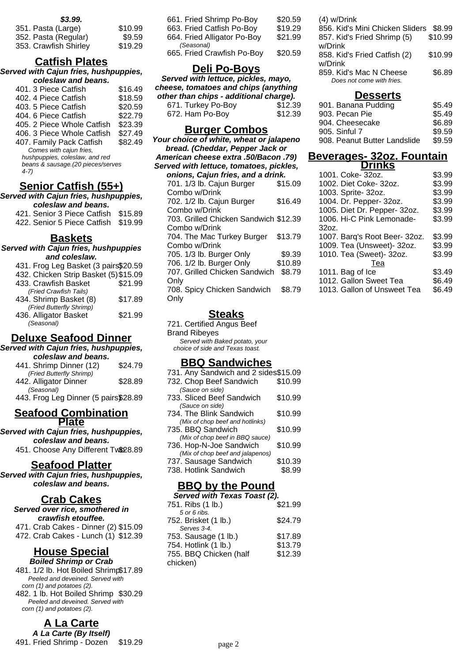| 351. Pasta (Large)    | \$10.99 |
|-----------------------|---------|
| 352. Pasta (Regular)  | \$9.59  |
| 353. Crawfish Shirley | \$19.29 |

## **Catfish Plates**

**Served with Cajun fries, hushpuppies, coleslaw and beans.**

| \$16.49 |
|---------|
| \$18.59 |
| \$20.59 |
| \$22.79 |
| \$23.39 |
| \$27.49 |
| \$82.49 |
|         |
|         |
|         |
|         |
|         |
|         |

### **Senior Catfish (55+)**

**Served with Cajun fries, hushpuppies, coleslaw and beans.**

421. Senior 3 Piece Catfish \$15.89 422. Senior 5 Piece Catfish \$19.99

#### **Baskets**

**Served with Cajun fries, hushpuppies and coleslaw.**

| 431. Frog Leg Basket (3 pairs\$20.59  |         |
|---------------------------------------|---------|
| 432. Chicken Strip Basket (5) \$15.09 |         |
| 433. Crawfish Basket                  | \$21.99 |
| (Fried Crawfish Tails)                |         |
| 434. Shrimp Basket (8)                | \$17.89 |
| (Fried Butterfly Shrimp)              |         |
| 436. Alligator Basket                 | \$21.99 |
| (Seasonal)                            |         |

### **Deluxe Seafood Dinner**

**Served with Cajun fries, hushpuppies, coleslaw and beans.**

| 441. Shrimp Dinner (12)              | \$24.79 |
|--------------------------------------|---------|
| (Fried Butterfly Shrimp)             |         |
| 442. Alligator Dinner                | \$28.89 |
| (Seasonal)                           |         |
| 443. Frog Leg Dinner (5 pairs\$28.89 |         |

#### **Seafood Combination Plate**

**Served with Cajun fries, hushpuppies, coleslaw and beans.**

451. Choose Any Different Tw\$28.89

**Seafood Platter**

**Served with Cajun fries, hushpuppies, coleslaw and beans.**

#### **Crab Cakes**

| Served over rice, smothered in       |  |  |
|--------------------------------------|--|--|
| crawfish etouffee.                   |  |  |
| 471. Crab Cakes - Dinner (2) \$15.09 |  |  |
| 472. Crab Cakes - Lunch (1) \$12.39  |  |  |

#### **House Special Boiled Shrimp or Crab**

481. 1/2 lb. Hot Boiled Shrimp\$17.89 Peeled and deveined. Served with corn (1) and potatoes (2). 482. 1 lb. Hot Boiled Shrimp \$30.29 Peeled and deveined. Served with corn (1) and potatoes (2).

**A La Carte A La Carte (By Itself)** 491. Fried Shrimp - Dozen \$19.29

| 661. Fried Shrimp Po-Boy    | \$20.59 |
|-----------------------------|---------|
| 663. Fried Catfish Po-Boy   | \$19.29 |
| 664. Fried Alligator Po-Boy | \$21.99 |
| (Seasonal)                  |         |
| 665. Fried Crawfish Po-Boy  | \$20.59 |
|                             |         |

### **Deli Po-Boys**

**Served with lettuce, pickles, mayo, cheese, tomatoes and chips (anything other than chips - additional charge).**

| 671. Turkey Po-Boy | \$12.39 |
|--------------------|---------|
| 672. Ham Po-Boy    | \$12.39 |

#### **Burger Combos**

**Your choice of white, wheat or jalapeno bread. (Cheddar, Pepper Jack or American cheese extra .50/Bacon .79) Served with lettuce, tomatoes, pickles, onions, Cajun fries, and a drink.** 701. 1/3 lb. Cajun Burger Combo w/Drink \$15.09 702. 1/2 lb. Cajun Burger Combo w/Drink \$16.49 703. Grilled Chicken Sandwich \$12.39 Combo w/Drink 704. The Mac Turkey Burger Combo w/Drink \$13.79 705. 1/3 lb. Burger Only \$9.39 706. 1/2 lb. Burger Only \$10.89 707. Grilled Chicken Sandwich \$8.79 **Only** 708. Spicy Chicken Sandwich **Only** \$8.79

### **Steaks**

721. Certified Angus Beef Brand Ribeyes Served with Baked potato, your choice of side and Texas toast.

#### **BBQ Sandwiches**

| <b>RRO by the Pound</b>                                    |         |  |
|------------------------------------------------------------|---------|--|
| 738. Hotlink Sandwich                                      | \$8.99  |  |
| 737. Sausage Sandwich                                      | \$10.39 |  |
| (Mix of chop beef and jalapenos)                           |         |  |
| (Mix of chop beef in BBQ sauce)<br>736. Hop-N-Joe Sandwich | \$10.99 |  |
| 735. BBQ Sandwich                                          | \$10.99 |  |
| (Mix of chop beef and hotlinks)                            |         |  |
| (Sauce on side)<br>734. The Blink Sandwich                 | \$10.99 |  |
| 733. Sliced Beef Sandwich                                  | \$10.99 |  |
| (Sauce on side)                                            |         |  |
| 732. Chop Beef Sandwich                                    | \$10.99 |  |
| 731. Any Sandwich and 2 sides\$15.09                       |         |  |

| Served with Texas Toast (2). |
|------------------------------|
| \$21.99                      |
|                              |
| \$24.79                      |
|                              |
| \$17.89                      |
| \$13.79                      |
| \$12.39                      |
|                              |
|                              |

(4) w/Drink 856. Kid's Mini Chicken Sliders \$8.99 857. Kid's Fried Shrimp (5) w/Drink \$10.99 858. Kid's Fried Catfish (2) w/Drink \$10.99

859. Kid's Mac N Cheese \$6.89 Does not come with fries.

#### **Desserts**

| 901. Banana Pudding          | \$5.49 |
|------------------------------|--------|
| 903. Pecan Pie               | \$5.49 |
| 904. Cheesecake              | \$6.89 |
| 905. Sinful 7                | \$9.59 |
| 908. Peanut Butter Landslide | \$9.59 |

#### **Beverages- 32oz. Fountain Drinks**

| 1001. Coke- 32oz.             | \$3.99 |
|-------------------------------|--------|
| 1002. Diet Coke- 32oz.        | \$3.99 |
| 1003. Sprite- 32oz.           | \$3.99 |
| 1004. Dr. Pepper- 32oz.       | \$3.99 |
| 1005. Diet Dr. Pepper- 32oz.  | \$3.99 |
| 1006. Hi-C Pink Lemonade-     | \$3.99 |
| 32oz.                         |        |
| 1007. Barq's Root Beer- 32oz. | \$3.99 |
| 1009. Tea (Unsweet)- 32oz.    | \$3.99 |
| 1010. Tea (Sweet)- 32oz.      | \$3.99 |
| Tea                           |        |
| 1011. Bag of Ice              | \$3.49 |
| 1012. Gallon Sweet Tea        | \$6.49 |
| 1013. Gallon of Unsweet Tea   | \$6.49 |
|                               |        |